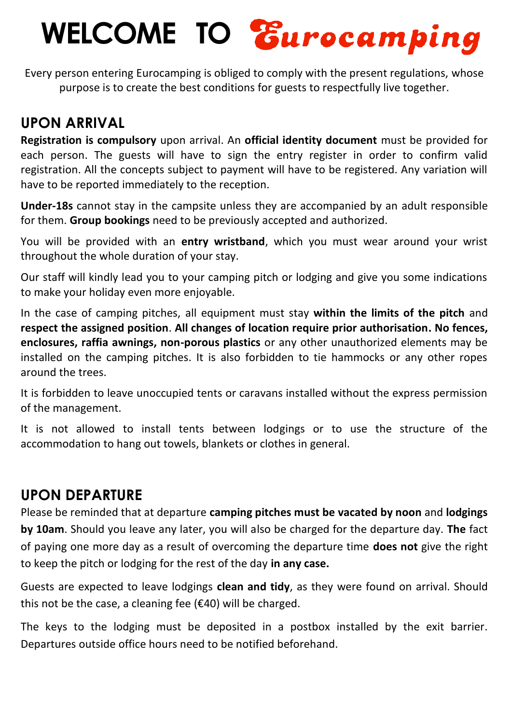# **WELCOME TO**

Every person entering Eurocamping is obliged to comply with the present regulations, whose purpose is to create the best conditions for guests to respectfully live together.

## **UPON ARRIVAL**

**Registration is compulsory** upon arrival. An **official identity document** must be provided for each person. The guests will have to sign the entry register in order to confirm valid registration. All the concepts subject to payment will have to be registered. Any variation will have to be reported immediately to the reception.

**Under-18s** cannot stay in the campsite unless they are accompanied by an adult responsible for them. **Group bookings** need to be previously accepted and authorized.

You will be provided with an **entry wristband**, which you must wear around your wrist throughout the whole duration of your stay.

Our staff will kindly lead you to your camping pitch or lodging and give you some indications to make your holiday even more enjoyable.

In the case of camping pitches, all equipment must stay **within the limits of the pitch** and **respect the assigned position**. **All changes of location require prior authorisation. No fences, enclosures, raffia awnings, non-porous plastics** or any other unauthorized elements may be installed on the camping pitches. It is also forbidden to tie hammocks or any other ropes around the trees.

It is forbidden to leave unoccupied tents or caravans installed without the express permission of the management.

It is not allowed to install tents between lodgings or to use the structure of the accommodation to hang out towels, blankets or clothes in general.

## **UPON DEPARTURE**

Please be reminded that at departure **camping pitches must be vacated by noon** and **lodgings by 10am**. Should you leave any later, you will also be charged for the departure day. **The** fact of paying one more day as a result of overcoming the departure time **does not** give the right to keep the pitch or lodging for the rest of the day **in any case.**

Guests are expected to leave lodgings **clean and tidy**, as they were found on arrival. Should this not be the case, a cleaning fee  $(E40)$  will be charged.

The keys to the lodging must be deposited in a postbox installed by the exit barrier. Departures outside office hours need to be notified beforehand.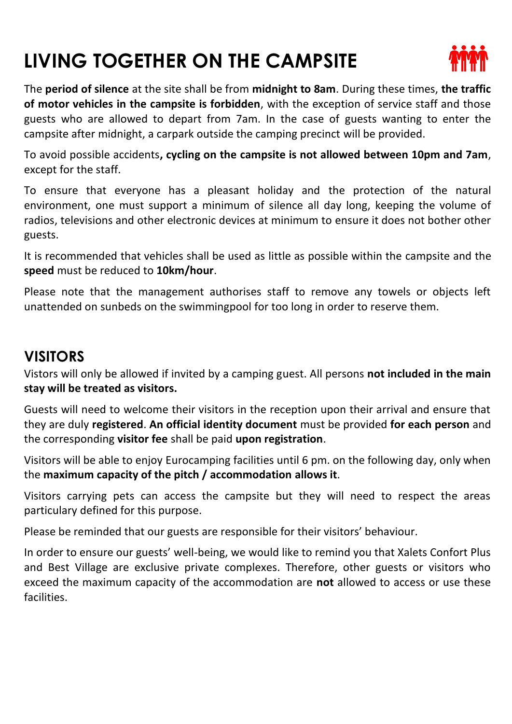# **LIVING TOGETHER ON THE CAMPSITE**



The **period of silence** at the site shall be from **midnight to 8am**. During these times, **the traffic of motor vehicles in the campsite is forbidden**, with the exception of service staff and those guests who are allowed to depart from 7am. In the case of guests wanting to enter the campsite after midnight, a carpark outside the camping precinct will be provided.

To avoid possible accidents**, cycling on the campsite is not allowed between 10pm and 7am**, except for the staff.

To ensure that everyone has a pleasant holiday and the protection of the natural environment, one must support a minimum of silence all day long, keeping the volume of radios, televisions and other electronic devices at minimum to ensure it does not bother other guests.

It is recommended that vehicles shall be used as little as possible within the campsite and the **speed** must be reduced to **10km/hour**.

Please note that the management authorises staff to remove any towels or objects left unattended on sunbeds on the swimmingpool for too long in order to reserve them.

### **VISITORS**

Vistors will only be allowed if invited by a camping guest. All persons **not included in the main stay will be treated as visitors.**

Guests will need to welcome their visitors in the reception upon their arrival and ensure that they are duly **registered**. **An official identity document** must be provided **for each person** and the corresponding **visitor fee** shall be paid **upon registration**.

Visitors will be able to enjoy Eurocamping facilities until 6 pm. on the following day, only when the **maximum capacity of the pitch / accommodation allows it**.

Visitors carrying pets can access the campsite but they will need to respect the areas particulary defined for this purpose.

Please be reminded that our guests are responsible for their visitors' behaviour.

In order to ensure our guests' well-being, we would like to remind you that Xalets Confort Plus and Best Village are exclusive private complexes. Therefore, other guests or visitors who exceed the maximum capacity of the accommodation are **not** allowed to access or use these facilities.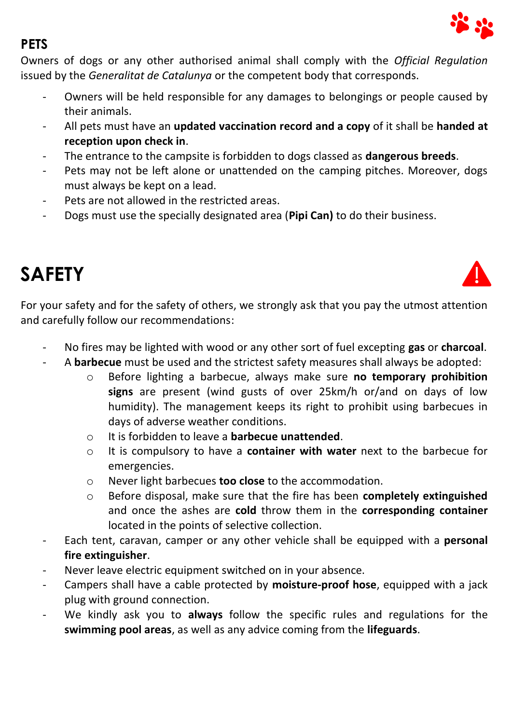

#### **PETS**

Owners of dogs or any other authorised animal shall comply with the *Official Regulation* issued by the *Generalitat de Catalunya* or the competent body that corresponds.

- Owners will be held responsible for any damages to belongings or people caused by their animals.
- All pets must have an **updated vaccination record and a copy** of it shall be **handed at reception upon check in**.
- The entrance to the campsite is forbidden to dogs classed as **dangerous breeds**.
- Pets may not be left alone or unattended on the camping pitches. Moreover, dogs must always be kept on a lead.
- Pets are not allowed in the restricted areas.
- Dogs must use the specially designated area (**Pipi Can)** to do their business.

## **SAFETY**



For your safety and for the safety of others, we strongly ask that you pay the utmost attention and carefully follow our recommendations:

- No fires may be lighted with wood or any other sort of fuel excepting **gas** or **charcoal**.
- A **barbecue** must be used and the strictest safety measures shall always be adopted:
	- o Before lighting a barbecue, always make sure **no temporary prohibition signs** are present (wind gusts of over 25km/h or/and on days of low humidity). The management keeps its right to prohibit using barbecues in days of adverse weather conditions.
	- o It is forbidden to leave a **barbecue unattended**.
	- o It is compulsory to have a **container with water** next to the barbecue for emergencies.
	- o Never light barbecues **too close** to the accommodation.
	- o Before disposal, make sure that the fire has been **completely extinguished** and once the ashes are **cold** throw them in the **corresponding container** located in the points of selective collection.
- Each tent, caravan, camper or any other vehicle shall be equipped with a **personal fire extinguisher**.
- Never leave electric equipment switched on in your absence.
- Campers shall have a cable protected by **moisture-proof hose**, equipped with a jack plug with ground connection.
- We kindly ask you to **always** follow the specific rules and regulations for the **swimming pool areas**, as well as any advice coming from the **lifeguards**.